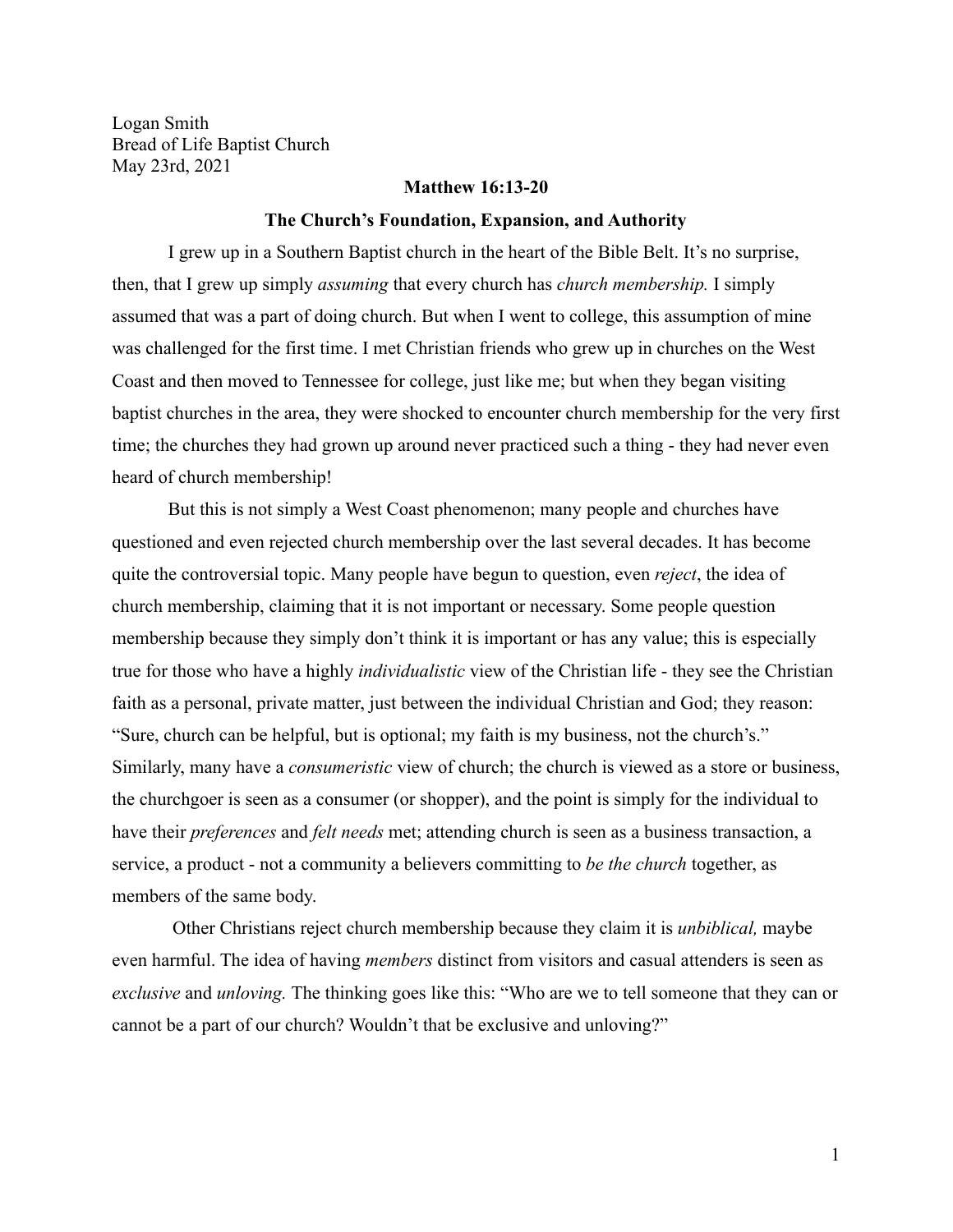Logan Smith Bread of Life Baptist Church May 23rd, 2021

#### **Matthew 16:13-20**

#### **The Church's Foundation, Expansion, and Authority**

I grew up in a Southern Baptist church in the heart of the Bible Belt. It's no surprise, then, that I grew up simply *assuming* that every church has *church membership.* I simply assumed that was a part of doing church. But when I went to college, this assumption of mine was challenged for the first time. I met Christian friends who grew up in churches on the West Coast and then moved to Tennessee for college, just like me; but when they began visiting baptist churches in the area, they were shocked to encounter church membership for the very first time; the churches they had grown up around never practiced such a thing - they had never even heard of church membership!

But this is not simply a West Coast phenomenon; many people and churches have questioned and even rejected church membership over the last several decades. It has become quite the controversial topic. Many people have begun to question, even *reject*, the idea of church membership, claiming that it is not important or necessary. Some people question membership because they simply don't think it is important or has any value; this is especially true for those who have a highly *individualistic* view of the Christian life - they see the Christian faith as a personal, private matter, just between the individual Christian and God; they reason: "Sure, church can be helpful, but is optional; my faith is my business, not the church's." Similarly, many have a *consumeristic* view of church; the church is viewed as a store or business, the churchgoer is seen as a consumer (or shopper), and the point is simply for the individual to have their *preferences* and *felt needs* met; attending church is seen as a business transaction, a service, a product - not a community a believers committing to *be the church* together, as members of the same body.

Other Christians reject church membership because they claim it is *unbiblical,* maybe even harmful. The idea of having *members* distinct from visitors and casual attenders is seen as *exclusive* and *unloving.* The thinking goes like this: "Who are we to tell someone that they can or cannot be a part of our church? Wouldn't that be exclusive and unloving?"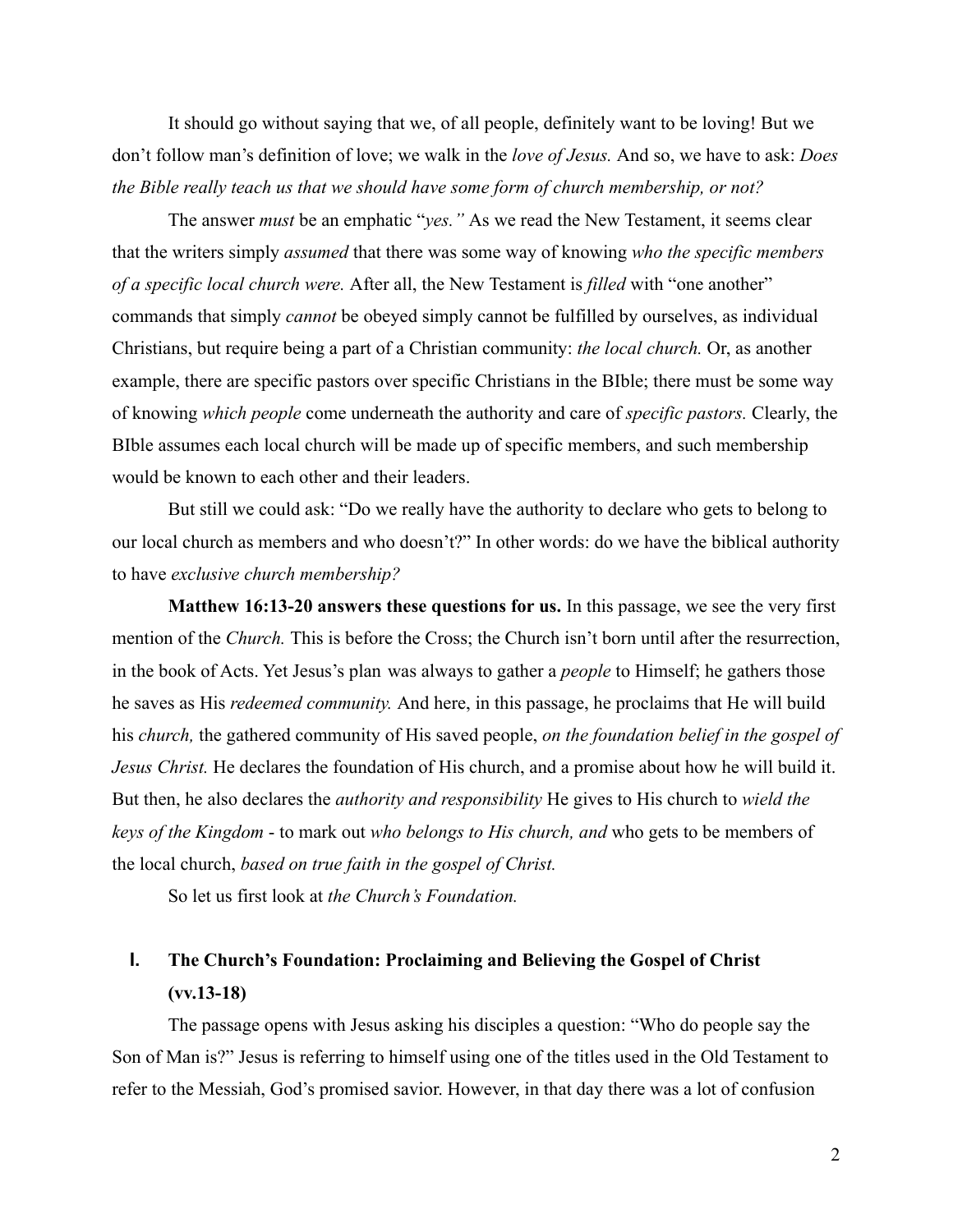It should go without saying that we, of all people, definitely want to be loving! But we don't follow man's definition of love; we walk in the *love of Jesus.* And so, we have to ask: *Does the Bible really teach us that we should have some form of church membership, or not?*

The answer *must* be an emphatic "*yes."* As we read the New Testament, it seems clear that the writers simply *assumed* that there was some way of knowing *who the specific members of a specific local church were.* After all, the New Testament is *filled* with "one another" commands that simply *cannot* be obeyed simply cannot be fulfilled by ourselves, as individual Christians, but require being a part of a Christian community: *the local church.* Or, as another example, there are specific pastors over specific Christians in the BIble; there must be some way of knowing *which people* come underneath the authority and care of *specific pastors.* Clearly, the BIble assumes each local church will be made up of specific members, and such membership would be known to each other and their leaders.

But still we could ask: "Do we really have the authority to declare who gets to belong to our local church as members and who doesn't?" In other words: do we have the biblical authority to have *exclusive church membership?*

**Matthew 16:13-20 answers these questions for us.** In this passage, we see the very first mention of the *Church.* This is before the Cross; the Church isn't born until after the resurrection, in the book of Acts. Yet Jesus's plan was always to gather a *people* to Himself; he gathers those he saves as His *redeemed community.* And here, in this passage, he proclaims that He will build his *church,* the gathered community of His saved people, *on the foundation belief in the gospel of Jesus Christ.* He declares the foundation of His church, and a promise about how he will build it. But then, he also declares the *authority and responsibility* He gives to His church to *wield the keys of the Kingdom* - to mark out *who belongs to His church, and* who gets to be members of the local church, *based on true faith in the gospel of Christ.*

So let us first look at *the Church's Foundation.*

# **I. The Church's Foundation: Proclaiming and Believing the Gospel of Christ (vv.13-18)**

The passage opens with Jesus asking his disciples a question: "Who do people say the Son of Man is?" Jesus is referring to himself using one of the titles used in the Old Testament to refer to the Messiah, God's promised savior. However, in that day there was a lot of confusion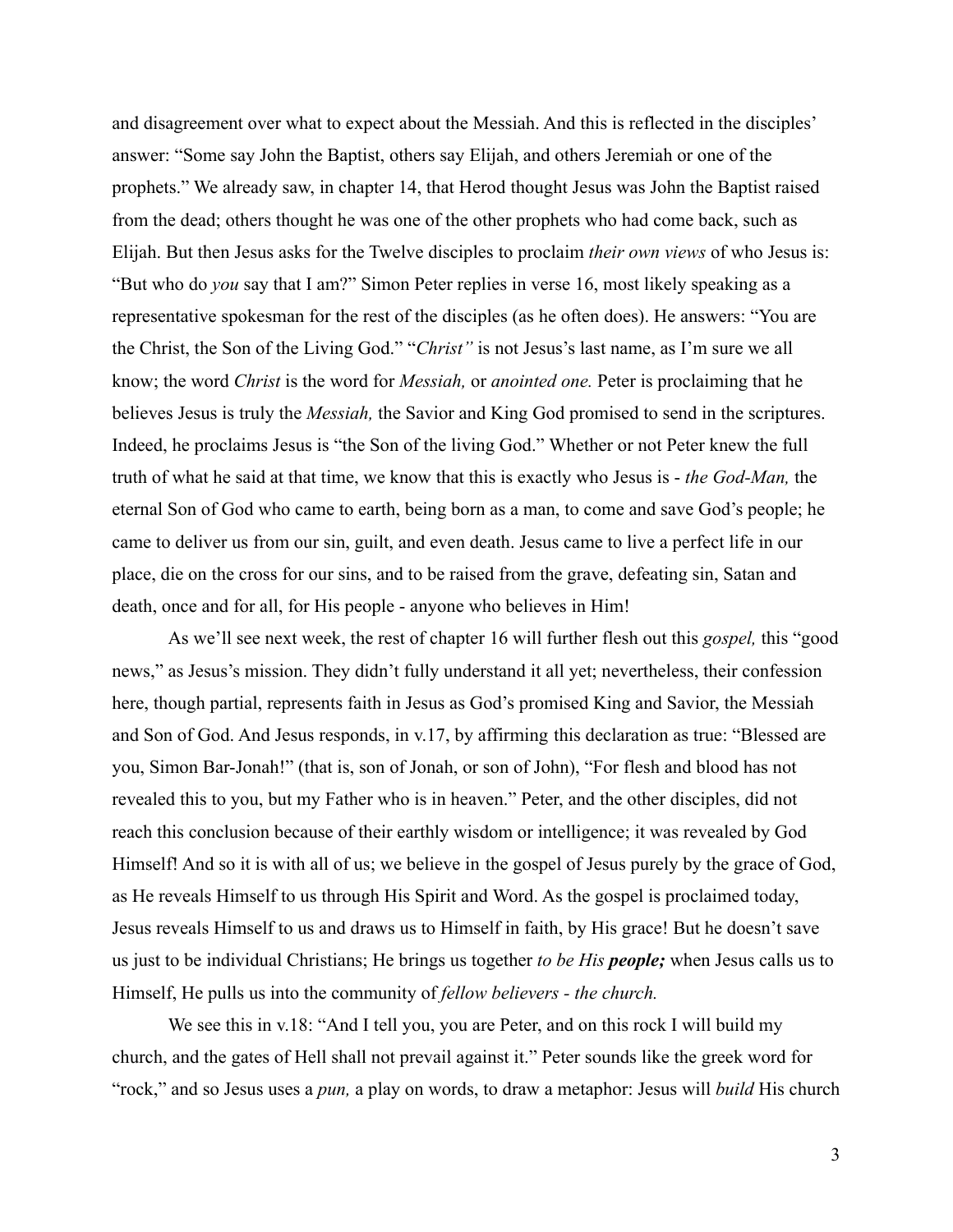and disagreement over what to expect about the Messiah. And this is reflected in the disciples' answer: "Some say John the Baptist, others say Elijah, and others Jeremiah or one of the prophets." We already saw, in chapter 14, that Herod thought Jesus was John the Baptist raised from the dead; others thought he was one of the other prophets who had come back, such as Elijah. But then Jesus asks for the Twelve disciples to proclaim *their own views* of who Jesus is: "But who do *you* say that I am?" Simon Peter replies in verse 16, most likely speaking as a representative spokesman for the rest of the disciples (as he often does). He answers: "You are the Christ, the Son of the Living God." "*Christ"* is not Jesus's last name, as I'm sure we all know; the word *Christ* is the word for *Messiah,* or *anointed one.* Peter is proclaiming that he believes Jesus is truly the *Messiah,* the Savior and King God promised to send in the scriptures. Indeed, he proclaims Jesus is "the Son of the living God." Whether or not Peter knew the full truth of what he said at that time, we know that this is exactly who Jesus is - *the God-Man,* the eternal Son of God who came to earth, being born as a man, to come and save God's people; he came to deliver us from our sin, guilt, and even death. Jesus came to live a perfect life in our place, die on the cross for our sins, and to be raised from the grave, defeating sin, Satan and death, once and for all, for His people - anyone who believes in Him!

As we'll see next week, the rest of chapter 16 will further flesh out this *gospel,* this "good news," as Jesus's mission. They didn't fully understand it all yet; nevertheless, their confession here, though partial, represents faith in Jesus as God's promised King and Savior, the Messiah and Son of God. And Jesus responds, in v.17, by affirming this declaration as true: "Blessed are you, Simon Bar-Jonah!" (that is, son of Jonah, or son of John), "For flesh and blood has not revealed this to you, but my Father who is in heaven." Peter, and the other disciples, did not reach this conclusion because of their earthly wisdom or intelligence; it was revealed by God Himself! And so it is with all of us; we believe in the gospel of Jesus purely by the grace of God, as He reveals Himself to us through His Spirit and Word. As the gospel is proclaimed today, Jesus reveals Himself to us and draws us to Himself in faith, by His grace! But he doesn't save us just to be individual Christians; He brings us together *to be His people;* when Jesus calls us to Himself, He pulls us into the community of *fellow believers - the church.*

We see this in v.18: "And I tell you, you are Peter, and on this rock I will build my church, and the gates of Hell shall not prevail against it." Peter sounds like the greek word for "rock," and so Jesus uses a *pun,* a play on words, to draw a metaphor: Jesus will *build* His church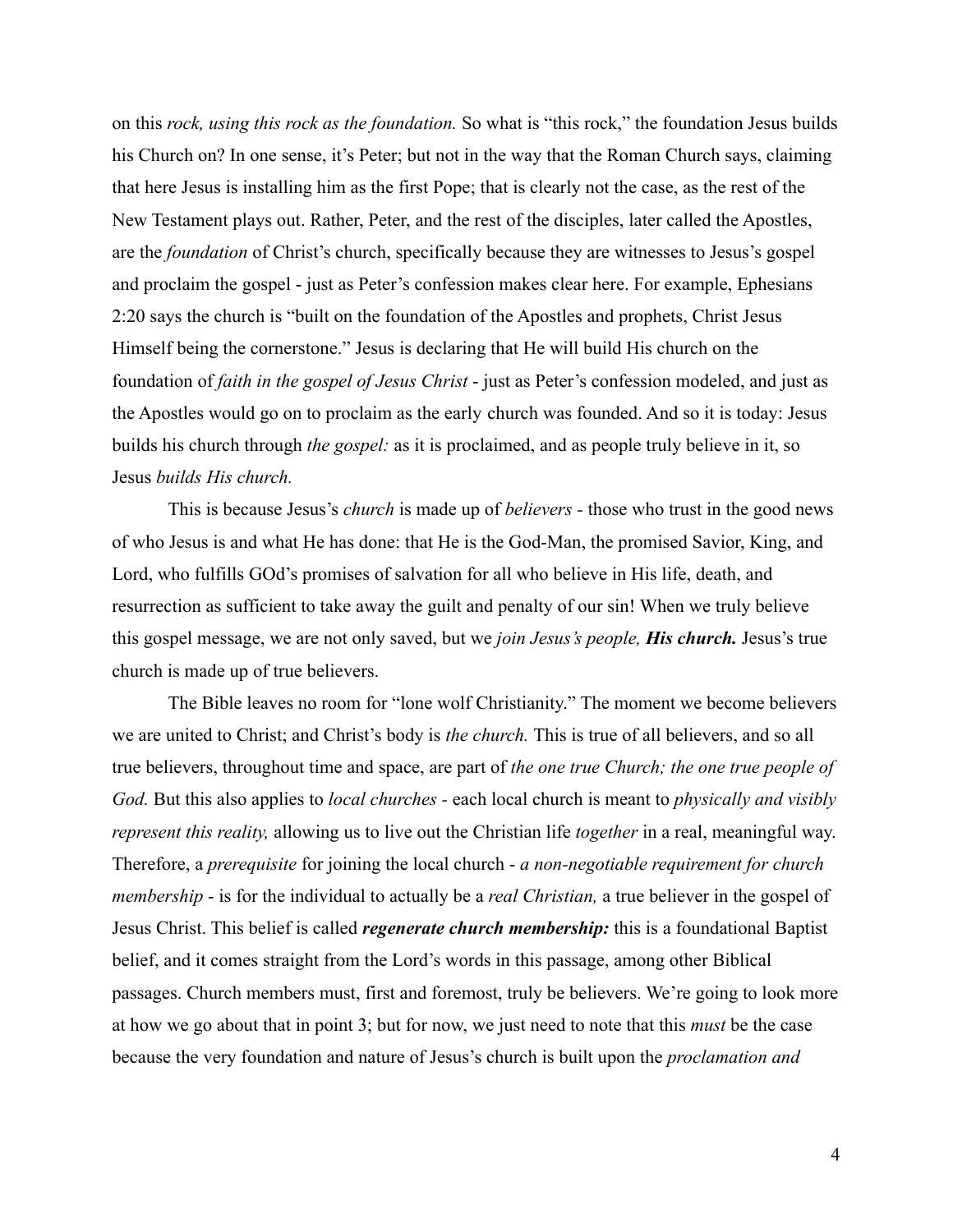on this *rock, using this rock as the foundation.* So what is "this rock," the foundation Jesus builds his Church on? In one sense, it's Peter; but not in the way that the Roman Church says, claiming that here Jesus is installing him as the first Pope; that is clearly not the case, as the rest of the New Testament plays out. Rather, Peter, and the rest of the disciples, later called the Apostles, are the *foundation* of Christ's church, specifically because they are witnesses to Jesus's gospel and proclaim the gospel - just as Peter's confession makes clear here. For example, Ephesians 2:20 says the church is "built on the foundation of the Apostles and prophets, Christ Jesus Himself being the cornerstone." Jesus is declaring that He will build His church on the foundation of *faith in the gospel of Jesus Christ* - just as Peter's confession modeled, and just as the Apostles would go on to proclaim as the early church was founded. And so it is today: Jesus builds his church through *the gospel:* as it is proclaimed, and as people truly believe in it, so Jesus *builds His church.*

This is because Jesus's *church* is made up of *believers -* those who trust in the good news of who Jesus is and what He has done: that He is the God-Man, the promised Savior, King, and Lord, who fulfills GOd's promises of salvation for all who believe in His life, death, and resurrection as sufficient to take away the guilt and penalty of our sin! When we truly believe this gospel message, we are not only saved, but we *join Jesus's people, His church.* Jesus's true church is made up of true believers.

The Bible leaves no room for "lone wolf Christianity." The moment we become believers we are united to Christ; and Christ's body is *the church.* This is true of all believers, and so all true believers, throughout time and space, are part of *the one true Church; the one true people of God.* But this also applies to *local churches -* each local church is meant to *physically and visibly represent this reality,* allowing us to live out the Christian life *together* in a real, meaningful way. Therefore, a *prerequisite* for joining the local church - *a non-negotiable requirement for church membership* - is for the individual to actually be a *real Christian,* a true believer in the gospel of Jesus Christ. This belief is called *regenerate church membership:* this is a foundational Baptist belief, and it comes straight from the Lord's words in this passage, among other Biblical passages. Church members must, first and foremost, truly be believers. We're going to look more at how we go about that in point 3; but for now, we just need to note that this *must* be the case because the very foundation and nature of Jesus's church is built upon the *proclamation and*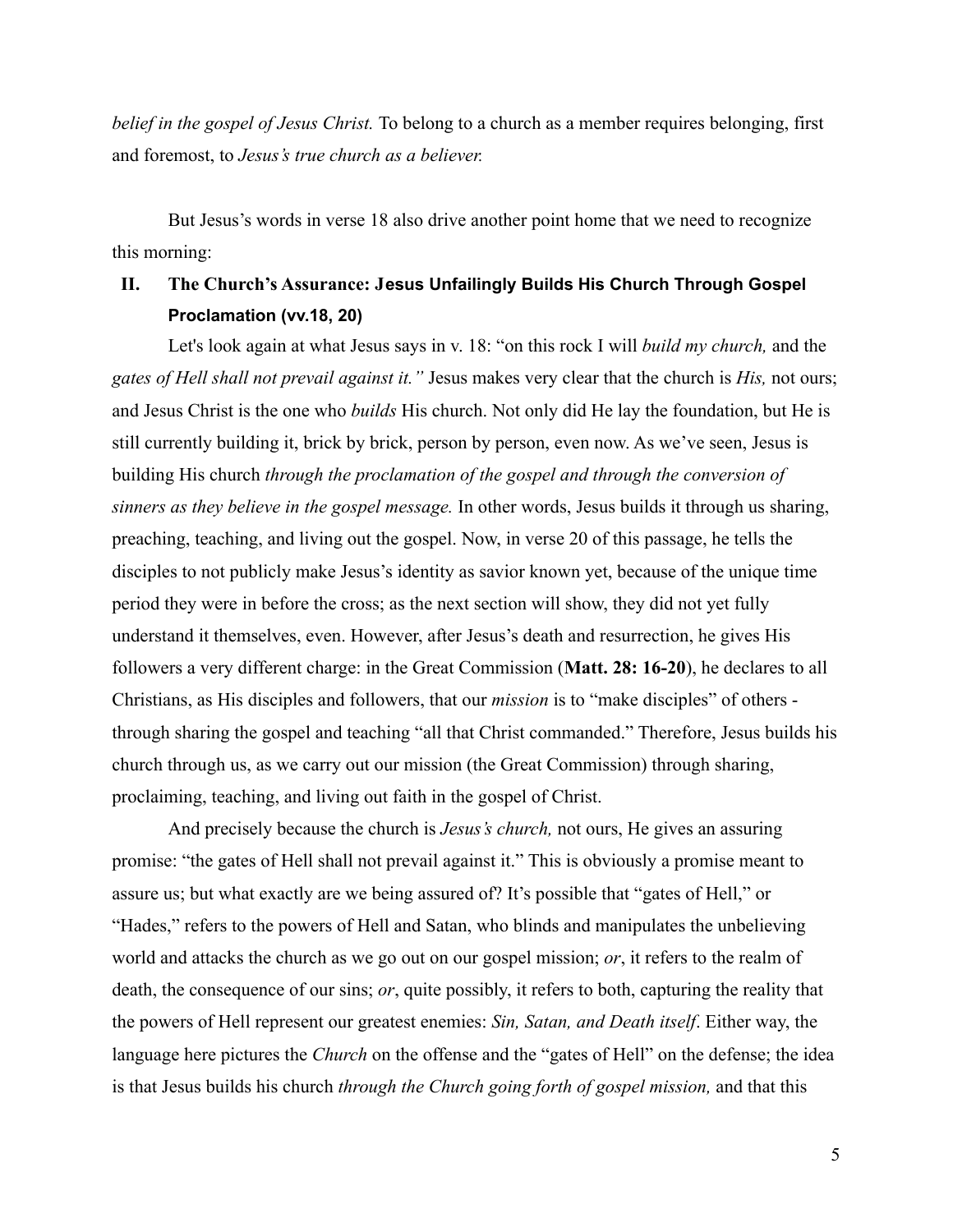*belief in the gospel of Jesus Christ.* To belong to a church as a member requires belonging, first and foremost, to *Jesus's true church as a believer.*

But Jesus's words in verse 18 also drive another point home that we need to recognize this morning:

### **II. The Church's Assurance: Jesus Unfailingly Builds His Church Through Gospel Proclamation (vv.18, 20)**

Let's look again at what Jesus says in v. 18: "on this rock I will *build my church,* and the *gates of Hell shall not prevail against it."* Jesus makes very clear that the church is *His,* not ours; and Jesus Christ is the one who *builds* His church. Not only did He lay the foundation, but He is still currently building it, brick by brick, person by person, even now. As we've seen, Jesus is building His church *through the proclamation of the gospel and through the conversion of sinners as they believe in the gospel message.* In other words, Jesus builds it through us sharing, preaching, teaching, and living out the gospel. Now, in verse 20 of this passage, he tells the disciples to not publicly make Jesus's identity as savior known yet, because of the unique time period they were in before the cross; as the next section will show, they did not yet fully understand it themselves, even. However, after Jesus's death and resurrection, he gives His followers a very different charge: in the Great Commission (**Matt. 28: 16-20**), he declares to all Christians, as His disciples and followers, that our *mission* is to "make disciples" of others through sharing the gospel and teaching "all that Christ commanded." Therefore, Jesus builds his church through us, as we carry out our mission (the Great Commission) through sharing, proclaiming, teaching, and living out faith in the gospel of Christ.

And precisely because the church is *Jesus's church,* not ours, He gives an assuring promise: "the gates of Hell shall not prevail against it." This is obviously a promise meant to assure us; but what exactly are we being assured of? It's possible that "gates of Hell," or "Hades," refers to the powers of Hell and Satan, who blinds and manipulates the unbelieving world and attacks the church as we go out on our gospel mission; *or*, it refers to the realm of death, the consequence of our sins; *or*, quite possibly, it refers to both, capturing the reality that the powers of Hell represent our greatest enemies: *Sin, Satan, and Death itself*. Either way, the language here pictures the *Church* on the offense and the "gates of Hell" on the defense; the idea is that Jesus builds his church *through the Church going forth of gospel mission,* and that this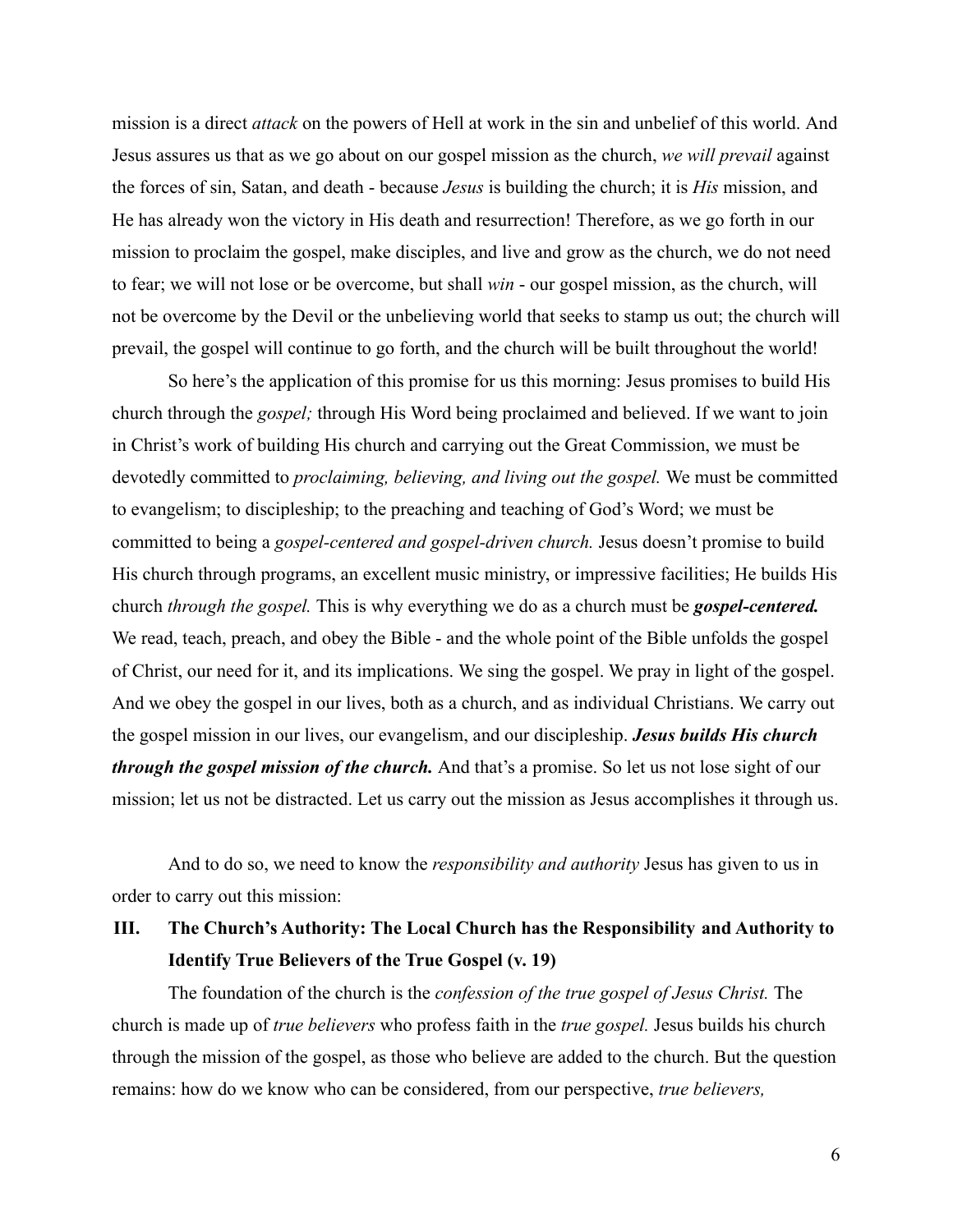mission is a direct *attack* on the powers of Hell at work in the sin and unbelief of this world. And Jesus assures us that as we go about on our gospel mission as the church, *we will prevail* against the forces of sin, Satan, and death - because *Jesus* is building the church; it is *His* mission, and He has already won the victory in His death and resurrection! Therefore, as we go forth in our mission to proclaim the gospel, make disciples, and live and grow as the church, we do not need to fear; we will not lose or be overcome, but shall *win* - our gospel mission, as the church, will not be overcome by the Devil or the unbelieving world that seeks to stamp us out; the church will prevail, the gospel will continue to go forth, and the church will be built throughout the world!

So here's the application of this promise for us this morning: Jesus promises to build His church through the *gospel;* through His Word being proclaimed and believed. If we want to join in Christ's work of building His church and carrying out the Great Commission, we must be devotedly committed to *proclaiming, believing, and living out the gospel.* We must be committed to evangelism; to discipleship; to the preaching and teaching of God's Word; we must be committed to being a *gospel-centered and gospel-driven church.* Jesus doesn't promise to build His church through programs, an excellent music ministry, or impressive facilities; He builds His church *through the gospel.* This is why everything we do as a church must be *gospel-centered.* We read, teach, preach, and obey the Bible - and the whole point of the Bible unfolds the gospel of Christ, our need for it, and its implications. We sing the gospel. We pray in light of the gospel. And we obey the gospel in our lives, both as a church, and as individual Christians. We carry out the gospel mission in our lives, our evangelism, and our discipleship. *Jesus builds His church through the gospel mission of the church.* And that's a promise. So let us not lose sight of our mission; let us not be distracted. Let us carry out the mission as Jesus accomplishes it through us.

And to do so, we need to know the *responsibility and authority* Jesus has given to us in order to carry out this mission:

## **III. The Church's Authority: The Local Church has the Responsibility and Authority to Identify True Believers of the True Gospel (v. 19)**

The foundation of the church is the *confession of the true gospel of Jesus Christ.* The church is made up of *true believers* who profess faith in the *true gospel.* Jesus builds his church through the mission of the gospel, as those who believe are added to the church. But the question remains: how do we know who can be considered, from our perspective, *true believers,*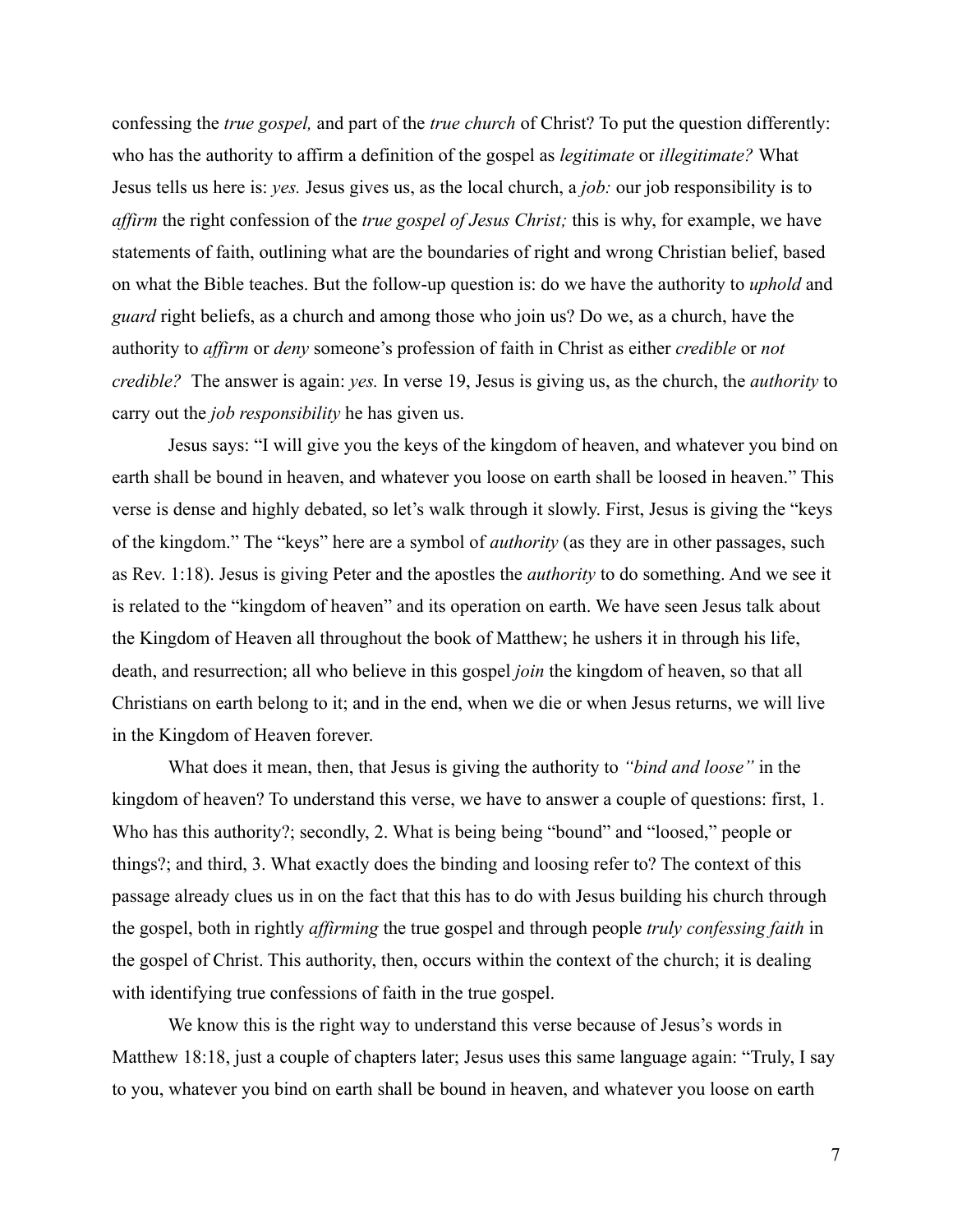confessing the *true gospel,* and part of the *true church* of Christ? To put the question differently: who has the authority to affirm a definition of the gospel as *legitimate* or *illegitimate?* What Jesus tells us here is: *yes.* Jesus gives us, as the local church, a *job:* our job responsibility is to *affirm* the right confession of the *true gospel of Jesus Christ;* this is why, for example, we have statements of faith, outlining what are the boundaries of right and wrong Christian belief, based on what the Bible teaches. But the follow-up question is: do we have the authority to *uphold* and *guard* right beliefs, as a church and among those who join us? Do we, as a church, have the authority to *affirm* or *deny* someone's profession of faith in Christ as either *credible* or *not credible?* The answer is again: *yes.* In verse 19, Jesus is giving us, as the church, the *authority* to carry out the *job responsibility* he has given us.

Jesus says: "I will give you the keys of the kingdom of heaven, and whatever you bind on earth shall be bound in heaven, and whatever you loose on earth shall be loosed in heaven." This verse is dense and highly debated, so let's walk through it slowly. First, Jesus is giving the "keys of the kingdom." The "keys" here are a symbol of *authority* (as they are in other passages, such as Rev. 1:18). Jesus is giving Peter and the apostles the *authority* to do something. And we see it is related to the "kingdom of heaven" and its operation on earth. We have seen Jesus talk about the Kingdom of Heaven all throughout the book of Matthew; he ushers it in through his life, death, and resurrection; all who believe in this gospel *join* the kingdom of heaven, so that all Christians on earth belong to it; and in the end, when we die or when Jesus returns, we will live in the Kingdom of Heaven forever.

What does it mean, then, that Jesus is giving the authority to *"bind and loose"* in the kingdom of heaven? To understand this verse, we have to answer a couple of questions: first, 1. Who has this authority?; secondly, 2. What is being being "bound" and "loosed," people or things?; and third, 3. What exactly does the binding and loosing refer to? The context of this passage already clues us in on the fact that this has to do with Jesus building his church through the gospel, both in rightly *affirming* the true gospel and through people *truly confessing faith* in the gospel of Christ. This authority, then, occurs within the context of the church; it is dealing with identifying true confessions of faith in the true gospel.

We know this is the right way to understand this verse because of Jesus's words in Matthew 18:18, just a couple of chapters later; Jesus uses this same language again: "Truly, I say to you, whatever you bind on earth shall be bound in heaven, and whatever you loose on earth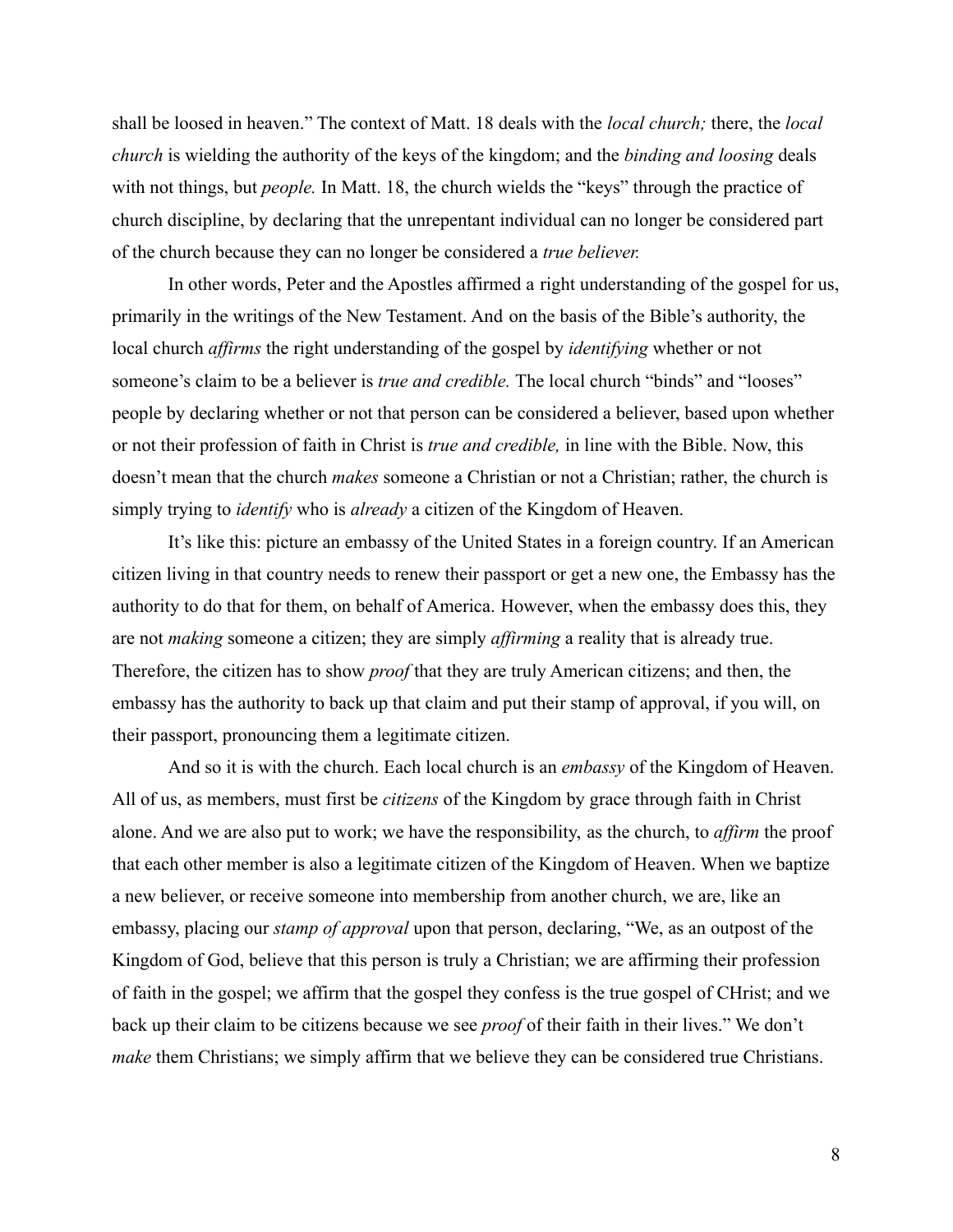shall be loosed in heaven." The context of Matt. 18 deals with the *local church;* there, the *local church* is wielding the authority of the keys of the kingdom; and the *binding and loosing* deals with not things, but *people*. In Matt. 18, the church wields the "keys" through the practice of church discipline, by declaring that the unrepentant individual can no longer be considered part of the church because they can no longer be considered a *true believer.*

In other words, Peter and the Apostles affirmed a right understanding of the gospel for us, primarily in the writings of the New Testament. And on the basis of the Bible's authority, the local church *affirms* the right understanding of the gospel by *identifying* whether or not someone's claim to be a believer is *true and credible.* The local church "binds" and "looses" people by declaring whether or not that person can be considered a believer, based upon whether or not their profession of faith in Christ is *true and credible,* in line with the Bible. Now, this doesn't mean that the church *makes* someone a Christian or not a Christian; rather, the church is simply trying to *identify* who is *already* a citizen of the Kingdom of Heaven.

It's like this: picture an embassy of the United States in a foreign country. If an American citizen living in that country needs to renew their passport or get a new one, the Embassy has the authority to do that for them, on behalf of America. However, when the embassy does this, they are not *making* someone a citizen; they are simply *affirming* a reality that is already true. Therefore, the citizen has to show *proof* that they are truly American citizens; and then, the embassy has the authority to back up that claim and put their stamp of approval, if you will, on their passport, pronouncing them a legitimate citizen.

And so it is with the church. Each local church is an *embassy* of the Kingdom of Heaven. All of us, as members, must first be *citizens* of the Kingdom by grace through faith in Christ alone. And we are also put to work; we have the responsibility, as the church, to *affirm* the proof that each other member is also a legitimate citizen of the Kingdom of Heaven. When we baptize a new believer, or receive someone into membership from another church, we are, like an embassy, placing our *stamp of approval* upon that person, declaring, "We, as an outpost of the Kingdom of God, believe that this person is truly a Christian; we are affirming their profession of faith in the gospel; we affirm that the gospel they confess is the true gospel of CHrist; and we back up their claim to be citizens because we see *proof* of their faith in their lives." We don't *make* them Christians; we simply affirm that we believe they can be considered true Christians.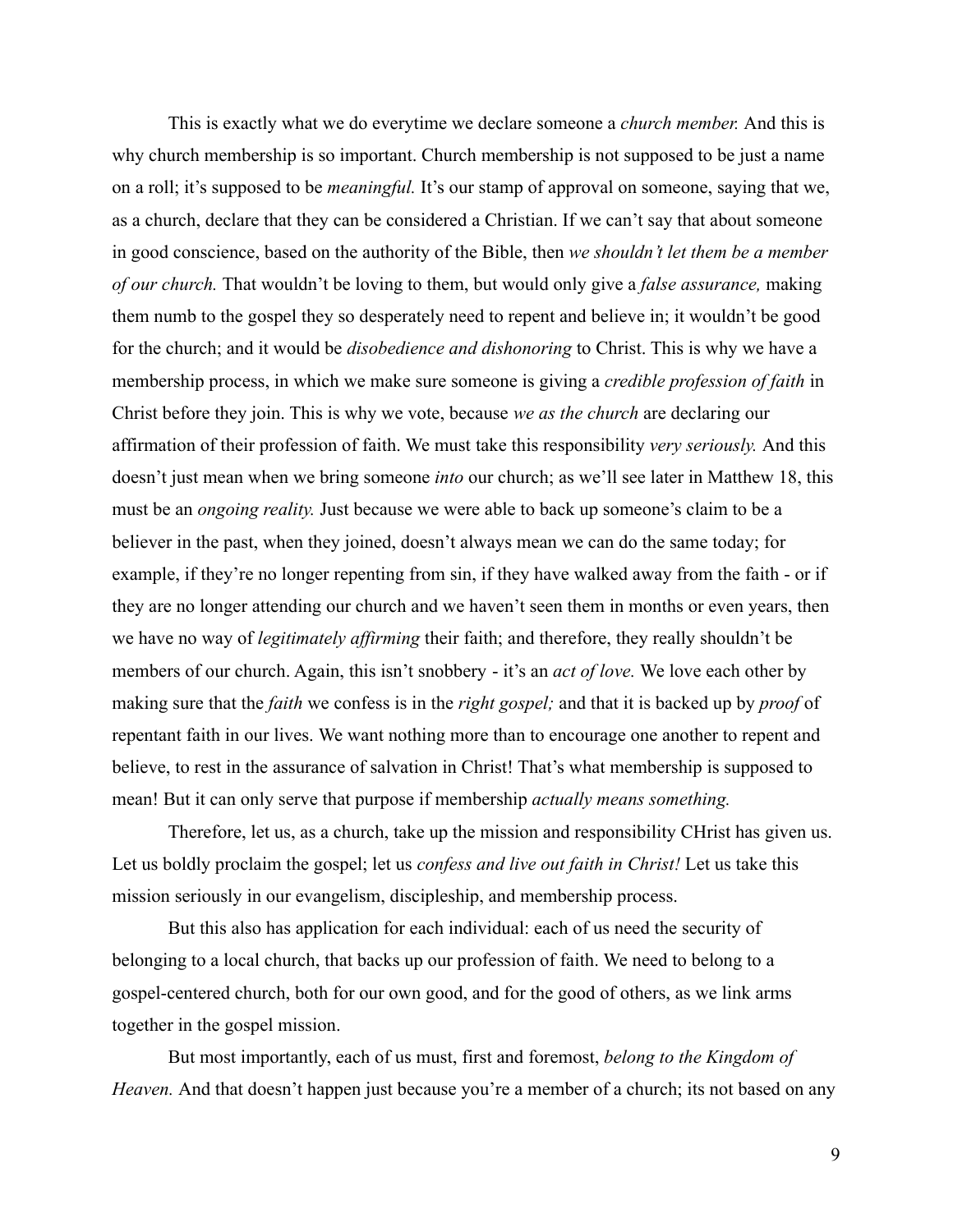This is exactly what we do everytime we declare someone a *church member.* And this is why church membership is so important. Church membership is not supposed to be just a name on a roll; it's supposed to be *meaningful.* It's our stamp of approval on someone, saying that we, as a church, declare that they can be considered a Christian. If we can't say that about someone in good conscience, based on the authority of the Bible, then *we shouldn't let them be a member of our church.* That wouldn't be loving to them, but would only give a *false assurance,* making them numb to the gospel they so desperately need to repent and believe in; it wouldn't be good for the church; and it would be *disobedience and dishonoring* to Christ. This is why we have a membership process, in which we make sure someone is giving a *credible profession of faith* in Christ before they join. This is why we vote, because *we as the church* are declaring our affirmation of their profession of faith. We must take this responsibility *very seriously.* And this doesn't just mean when we bring someone *into* our church; as we'll see later in Matthew 18, this must be an *ongoing reality.* Just because we were able to back up someone's claim to be a believer in the past, when they joined, doesn't always mean we can do the same today; for example, if they're no longer repenting from sin, if they have walked away from the faith - or if they are no longer attending our church and we haven't seen them in months or even years, then we have no way of *legitimately affirming* their faith; and therefore, they really shouldn't be members of our church. Again, this isn't snobbery - it's an *act of love.* We love each other by making sure that the *faith* we confess is in the *right gospel;* and that it is backed up by *proof* of repentant faith in our lives. We want nothing more than to encourage one another to repent and believe, to rest in the assurance of salvation in Christ! That's what membership is supposed to mean! But it can only serve that purpose if membership *actually means something.*

Therefore, let us, as a church, take up the mission and responsibility CHrist has given us. Let us boldly proclaim the gospel; let us *confess and live out faith in Christ!* Let us take this mission seriously in our evangelism, discipleship, and membership process.

But this also has application for each individual: each of us need the security of belonging to a local church, that backs up our profession of faith. We need to belong to a gospel-centered church, both for our own good, and for the good of others, as we link arms together in the gospel mission.

But most importantly, each of us must, first and foremost, *belong to the Kingdom of Heaven.* And that doesn't happen just because you're a member of a church; its not based on any